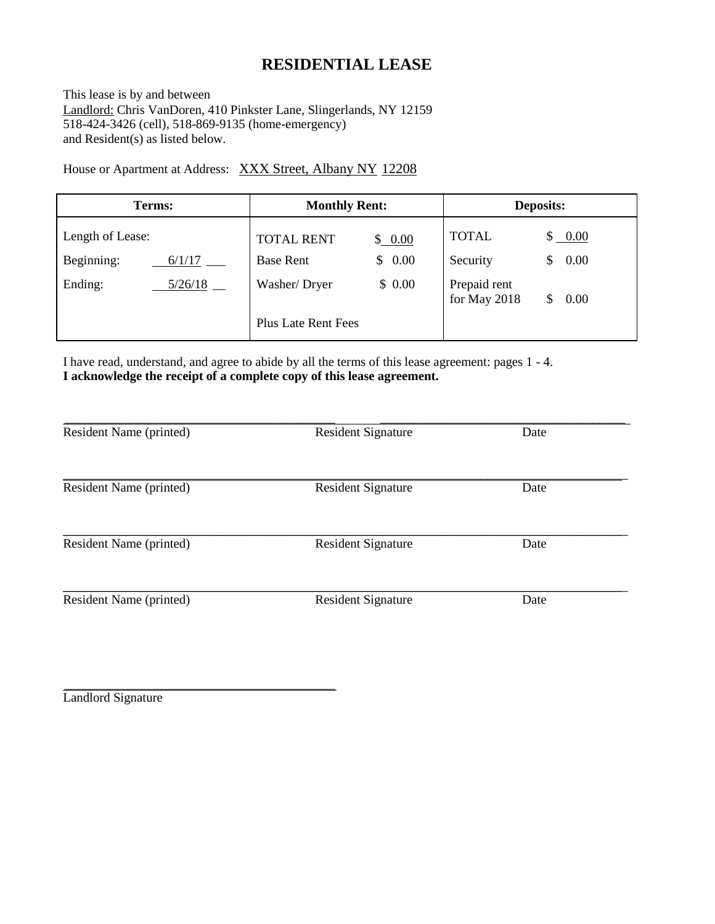# **RESIDENTIAL LEASE**

This lease is by and between Landlord: Chris VanDoren, 410 Pinkster Lane, Slingerlands, NY 12159 518-424-3426 (cell), 518-869-9135 (home-emergency) and Resident(s) as listed below.

House or Apartment at Address: XXX Street, Albany NY 12208

| Terms:               | <b>Monthly Rent:</b>        | <b>Deposits:</b>                     |
|----------------------|-----------------------------|--------------------------------------|
| Length of Lease:     | <b>TOTAL RENT</b><br>\$0.00 | <b>TOTAL</b><br>\$ 0.00              |
| Beginning:<br>6/1/17 | <b>Base Rent</b><br>\$0.00  | 0.00<br>Security<br>S                |
| Ending:<br>5/26/18   | \$0.00<br>Washer/Dryer      | Prepaid rent<br>for May 2018<br>0.00 |
|                      | <b>Plus Late Rent Fees</b>  |                                      |

I have read, understand, and agree to abide by all the terms of this lease agreement: pages 1 - 4. **I acknowledge the receipt of a complete copy of this lease agreement.**

| Resident Name (printed) | <b>Resident Signature</b> | Date |
|-------------------------|---------------------------|------|
| Resident Name (printed) | <b>Resident Signature</b> | Date |
| Resident Name (printed) | <b>Resident Signature</b> | Date |
| Resident Name (printed) | <b>Resident Signature</b> | Date |

Landlord Signature

\_\_\_\_\_\_\_\_\_\_\_\_\_\_\_\_\_\_\_\_\_\_\_\_\_\_\_\_\_\_\_\_\_\_\_\_\_\_\_\_\_\_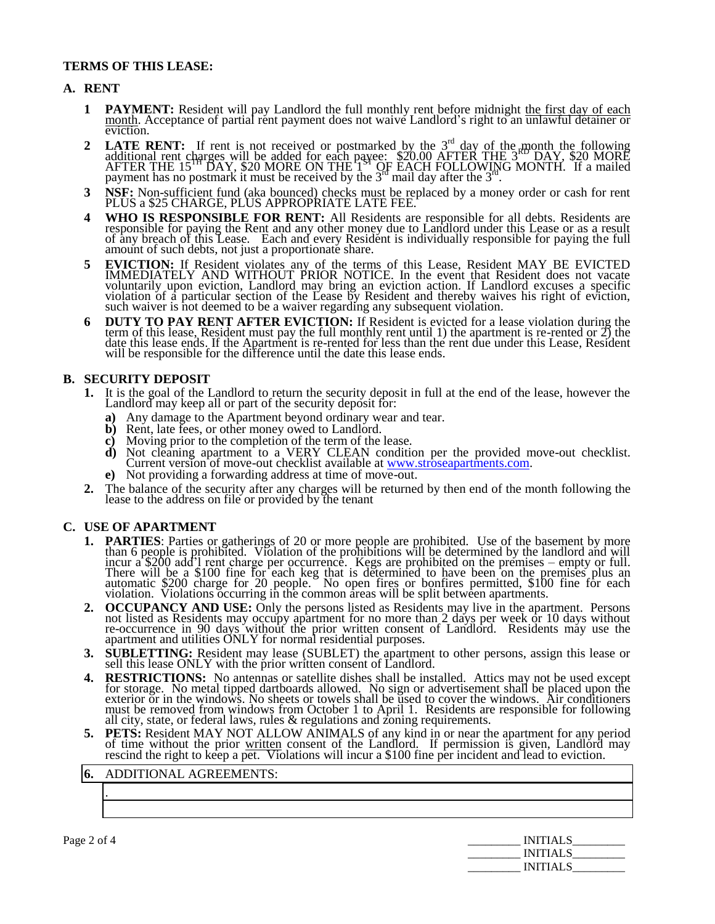# **TERMS OF THIS LEASE:**

### **A. RENT**

- **1 PAYMENT:** Resident will pay Landlord the full monthly rent before midnight the first day of each month. Acceptance of partial rent payment does not waive Landlord's right to an unlawful detainer or eviction.
- **2 LATE RENT:** If rent is not received or postmarked by the  $3<sup>rd</sup>$  day of the month the following additional rent charges will be added for each payee: \$20.00 AFTER THE 3 RD DAY, \$20 MORE AFTER THE 15<sup>TH</sup> DAY, \$20 MORE ON THE 1<sup>ST</sup> OF EACH FOLLOWING MONTH. If a mailed payment has no postmark it must be received by the  $3<sup>rd</sup>$  mail day after the  $3<sup>rd</sup>$ .
- **3 NSF:** Non-sufficient fund (aka bounced) checks must be replaced by a money order or cash for rent PLUS a \$25 CHARGE, PLUS APPROPRIATE LATE FEE.
- **4 WHO IS RESPONSIBLE FOR RENT:** All Residents are responsible for all debts. Residents are responsible for paying the Rent and any other money due to Landlord under this Lease or as a result of any breach of this Lease. Each and every Resident is individually responsible for paying the full amount of such debts, not just a proportionate share.
- **5 EVICTION:** If Resident violates any of the terms of this Lease, Resident MAY BE EVICTED IMMEDIATELY AND WITHOUT PRIOR NOTICE. In the event that Resident does not vacate voluntarily upon eviction, Landlord may bring an eviction action. If Landlord excuses a specific violation of a particular section of the Lease by Resident and thereby waives his right of eviction, such waiver is not deemed to be a waiver regarding any subsequent violation.
- **6 DUTY TO PAY RENT AFTER EVICTION:** If Resident is evicted for a lease violation during the term of this lease, Resident must pay the full monthly rent until 1) the apartment is re-rented or 2) the date this lease ends. If the Apartment is re-rented for less than the rent due under this Lease, Resident will be responsible for the difference until the date this lease ends.

# **B. SECURITY DEPOSIT**

- **1.** It is the goal of the Landlord to return the security deposit in full at the end of the lease, however the Landlord may keep all or part of the security deposit for:
	- **a)** Any damage to the Apartment beyond ordinary wear and tear.
	- **b)** Rent, late fees, or other money owed to Landlord.
	- **c)** Moving prior to the completion of the term of the lease.
	- **d)** Not cleaning apartment to a VERY CLEAN condition per the provided move-out checklist. Current version of move-out checklist available at [www.stroseapartments.com.](http://www.stroseapartments.com/)
	- **e)** Not providing a forwarding address at time of move-out.
- **2.** The balance of the security after any charges will be returned by then end of the month following the lease to the address on file or provided by the tenant

### **C. USE OF APARTMENT**

- **1. PARTIES**: Parties or gatherings of 20 or more people are prohibited. Use of the basement by more than 6 people is prohibited. Violation of the prohibitions will be determined by the landlord and will incur a \$200 add'l rent charge per occurrence. Kegs are prohibited on the premises – empty or full. There will be a \$100 fine for each keg that is determined to have been on the premises plus an automatic \$200 charge for 20 people. No open fires or bonfires permitted, \$100 fine for each violation. Violations occurring in the common areas will be split between apartments.
- **2. OCCUPANCY AND USE:** Only the persons listed as Residents may live in the apartment. Persons not listed as Residents may occupy apartment for no more than 2 days per week or 10 days without re-occurrence in 90 days without the prior written consent of Landlord. Residents may use the apartment and utilities ONLY for normal residential purposes.
- **3. SUBLETTING:** Resident may lease (SUBLET) the apartment to other persons, assign this lease or sell this lease ONLY with the prior written consent of Landlord.
- **4. RESTRICTIONS:** No antennas or satellite dishes shall be installed. Attics may not be used except for storage. No metal tipped dartboards allowed. No sign or advertisement shall be placed upon the exterior or in the windows. No sheets or towels shall be used to cover the windows. Air conditioners must be removed from windows from October 1 to April 1. Residents are responsible for following all city, state, or federal laws, rules & regulations and zoning requirements.
- **5. PETS:** Resident MAY NOT ALLOW ANIMALS of any kind in or near the apartment for any period of time without the prior written consent of the Landlord. If permission is given, Landlord may rescind the right to keep a pet. Violations will incur a \$100 fine per incident and lead to eviction.

### **6.** ADDITIONAL AGREEMENTS:

| Page 2 of 4 | <b>INITIALS</b> |
|-------------|-----------------|
|             | <b>INITIALS</b> |
|             | <b>INITIALS</b> |

.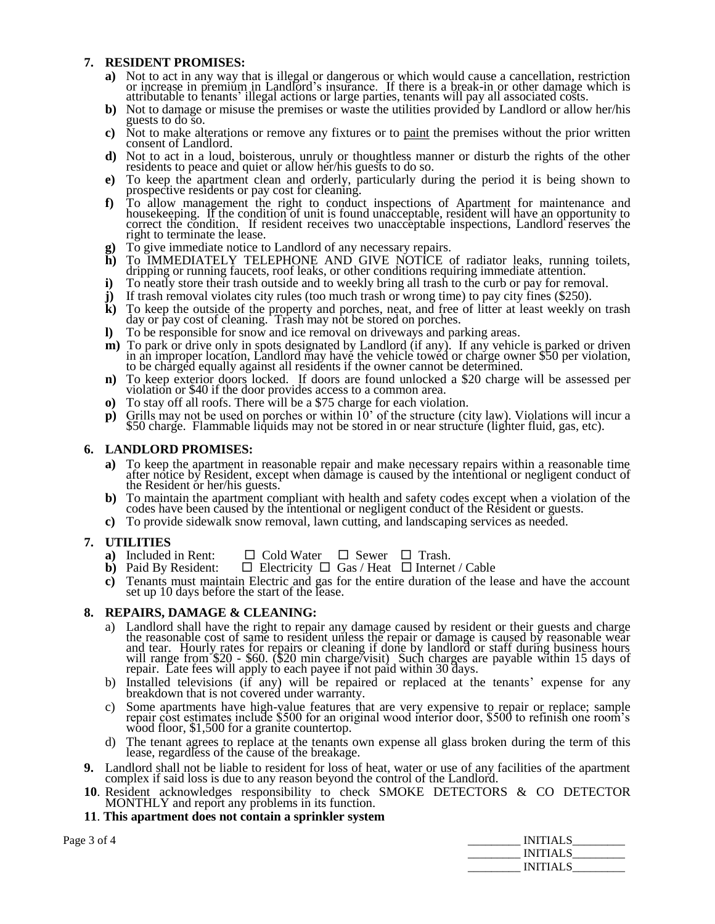# **7. RESIDENT PROMISES:**

- **a)** Not to act in any way that is illegal or dangerous or which would cause a cancellation, restriction or increase in premium in Landlord's insurance. If there is a break-in or other damage which is attributable to tenants' illegal actions or large parties, tenants will pay all associated costs.
- **b)** Not to damage or misuse the premises or waste the utilities provided by Landlord or allow her/his guests to do so.
- **c)** Not to make alterations or remove any fixtures or to paint the premises without the prior written consent of Landlord.
- **d)** Not to act in a loud, boisterous, unruly or thoughtless manner or disturb the rights of the other residents to peace and quiet or allow her/his guests to do so.
- **e)** To keep the apartment clean and orderly, particularly during the period it is being shown to prospective residents or pay cost for cleaning.
- **f)** To allow management the right to conduct inspections of Apartment for maintenance and housekeeping. If the condition of unit is found unacceptable, resident will have an opportunity to correct the condition. If resident receives two unacceptable inspections, Landlord reserves the right to terminate the lease.
- **g)** To give immediate notice to Landlord of any necessary repairs.
- **h)** To IMMEDIATELY TELEPHONE AND GIVE NOTICE of radiator leaks, running toilets, dripping or running faucets, roof leaks, or other conditions requiring immediate attention.
- **i)** To neatly store their trash outside and to weekly bring all trash to the curb or pay for removal.
- **j)** If trash removal violates city rules (too much trash or wrong time) to pay city fines (\$250).
- **k)** To keep the outside of the property and porches, neat, and free of litter at least weekly on trash day or pay cost of cleaning. Trash may not be stored on porches.
- **l)** To be responsible for snow and ice removal on driveways and parking areas.
- **m)** To park or drive only in spots designated by Landlord (if any). If any vehicle is parked or driven in an improper location, Landlord may have the vehicle towed or charge owner \$50 per violation, to be charged equally against all residents if the owner cannot be determined.
- **n)** To keep exterior doors locked. If doors are found unlocked a \$20 charge will be assessed per violation or \$40 if the door provides access to a common area.
- **o)** To stay off all roofs. There will be a \$75 charge for each violation.
- **p)** Grills may not be used on porches or within 10' of the structure (city law). Violations will incur a \$50 charge. Flammable liquids may not be stored in or near structure (lighter fluid, gas, etc).

# **6. LANDLORD PROMISES:**

- **a)** To keep the apartment in reasonable repair and make necessary repairs within a reasonable time after notice by Resident, except when damage is caused by the intentional or negligent conduct of the Resident or her/his guests.
- **b)** To maintain the apartment compliant with health and safety codes except when a violation of the codes have been caused by the intentional or negligent conduct of the Resident or guests.
- **c)** To provide sidewalk snow removal, lawn cutting, and landscaping services as needed.

- **7. UTILITIES**  $\Box$  Cold Water  $\Box$  Sewer  $\Box$  Trash.
	- **b**) Paid By Resident:  $\Box$  Electricity  $\Box$  Gas / Heat  $\Box$  Internet / Cable
	- **c)** Tenants must maintain Electric and gas for the entire duration of the lease and have the account set up 10 days before the start of the lease.

### **8. REPAIRS, DAMAGE & CLEANING:**

- a) Landlord shall have the right to repair any damage caused by resident or their guests and charge the reasonable cost of same to resident unless the repair or damage is caused by reasonable wear and tear. Hourly rates for repairs or cleaning if done by landlord or staff during business hours will range from \$20 - \$60. (\$20 min charge/visit) Such charges are payable within 15 days of repair. Late fees will apply to each payee if not paid within 30 days.
- b) Installed televisions (if any) will be repaired or replaced at the tenants' expense for any breakdown that is not covered under warranty.
- c) Some apartments have high-value features that are very expensive to repair or replace; sample repair cost estimates include \$500 for an original wood interior door, \$500 to refinish one room's wood floor, \$1,500 for a granite countertop.
- d) The tenant agrees to replace at the tenants own expense all glass broken during the term of this lease, regardless of the cause of the breakage.
- **9.** Landlord shall not be liable to resident for loss of heat, water or use of any facilities of the apartment complex if said loss is due to any reason beyond the control of the Landlord.
- **10**. Resident acknowledges responsibility to check SMOKE DETECTORS & CO DETECTOR MONTHLY and report any problems in its function.
- **11**. **This apartment does not contain a sprinkler system**

| Page 3 of 4 | <b>INITIALS</b> |
|-------------|-----------------|
|             | <b>INITIALS</b> |
|             | <b>INITIALS</b> |